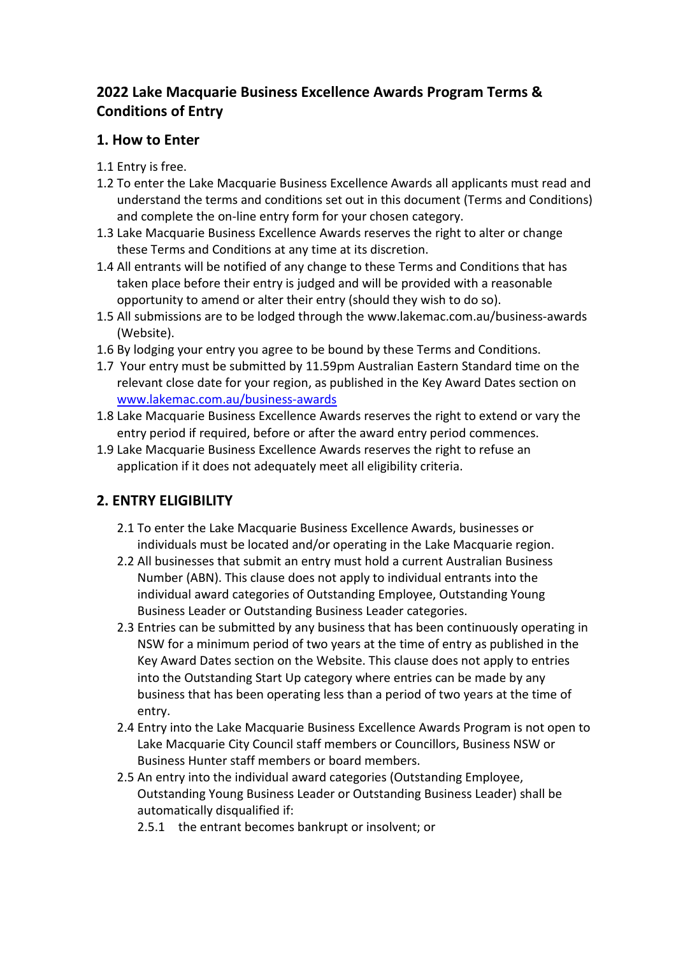# **2022 Lake Macquarie Business Excellence Awards Program Terms & Conditions of Entry**

## **1. How to Enter**

- 1.1 Entry is free.
- 1.2 To enter the Lake Macquarie Business Excellence Awards all applicants must read and understand the terms and conditions set out in this document (Terms and Conditions) and complete the on-line entry form for your chosen category.
- 1.3 Lake Macquarie Business Excellence Awards reserves the right to alter or change these Terms and Conditions at any time at its discretion.
- 1.4 All entrants will be notified of any change to these Terms and Conditions that has taken place before their entry is judged and will be provided with a reasonable opportunity to amend or alter their entry (should they wish to do so).
- 1.5 All submissions are to be lodged through the www.lakemac.com.au/business-awards (Website).
- 1.6 By lodging your entry you agree to be bound by these Terms and Conditions.
- 1.7 Your entry must be submitted by 11.59pm Australian Eastern Standard time on the relevant close date for your region, as published in the Key Award Dates section on [www.lakemac.com.au/business-awards](http://www.lakemac.com.au/business-awards)
- 1.8 Lake Macquarie Business Excellence Awards reserves the right to extend or vary the entry period if required, before or after the award entry period commences.
- 1.9 Lake Macquarie Business Excellence Awards reserves the right to refuse an application if it does not adequately meet all eligibility criteria.

# **2. ENTRY ELIGIBILITY**

- 2.1 To enter the Lake Macquarie Business Excellence Awards, businesses or individuals must be located and/or operating in the Lake Macquarie region.
- 2.2 All businesses that submit an entry must hold a current Australian Business Number (ABN). This clause does not apply to individual entrants into the individual award categories of Outstanding Employee, Outstanding Young Business Leader or Outstanding Business Leader categories.
- 2.3 Entries can be submitted by any business that has been continuously operating in NSW for a minimum period of two years at the time of entry as published in the Key Award Dates section on the Website. This clause does not apply to entries into the Outstanding Start Up category where entries can be made by any business that has been operating less than a period of two years at the time of entry.
- 2.4 Entry into the Lake Macquarie Business Excellence Awards Program is not open to Lake Macquarie City Council staff members or Councillors, Business NSW or Business Hunter staff members or board members.
- 2.5 An entry into the individual award categories (Outstanding Employee, Outstanding Young Business Leader or Outstanding Business Leader) shall be automatically disqualified if:
	- 2.5.1 the entrant becomes bankrupt or insolvent; or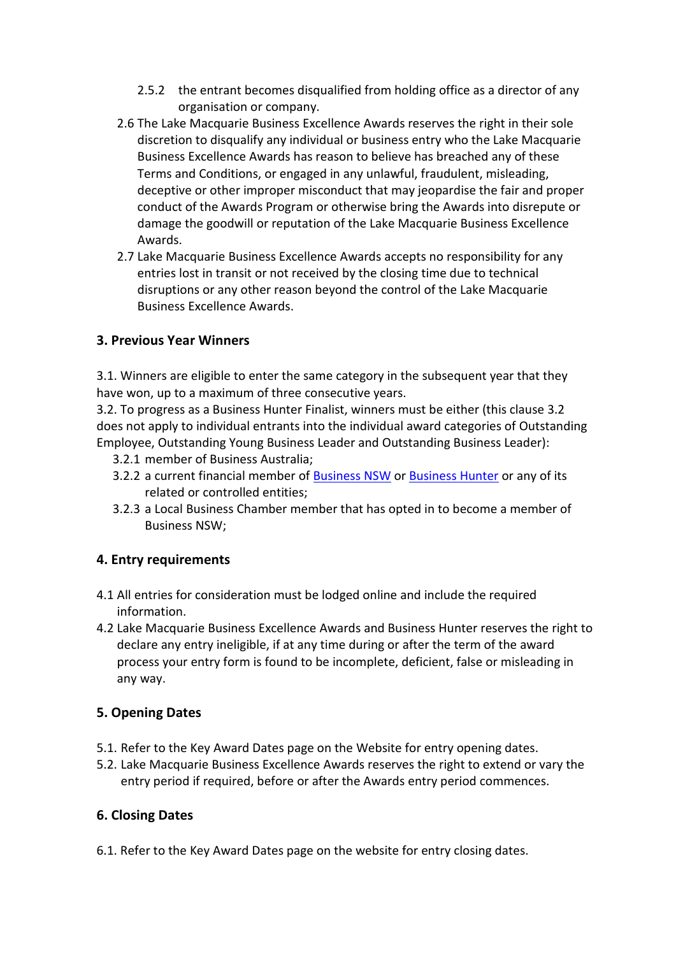- 2.5.2 the entrant becomes disqualified from holding office as a director of any organisation or company.
- 2.6 The Lake Macquarie Business Excellence Awards reserves the right in their sole discretion to disqualify any individual or business entry who the Lake Macquarie Business Excellence Awards has reason to believe has breached any of these Terms and Conditions, or engaged in any unlawful, fraudulent, misleading, deceptive or other improper misconduct that may jeopardise the fair and proper conduct of the Awards Program or otherwise bring the Awards into disrepute or damage the goodwill or reputation of the Lake Macquarie Business Excellence Awards.
- 2.7 Lake Macquarie Business Excellence Awards accepts no responsibility for any entries lost in transit or not received by the closing time due to technical disruptions or any other reason beyond the control of the Lake Macquarie Business Excellence Awards.

## **3. Previous Year Winners**

3.1. Winners are eligible to enter the same category in the subsequent year that they have won, up to a maximum of three consecutive years.

3.2. To progress as a Business Hunter Finalist, winners must be either (this clause 3.2 does not apply to individual entrants into the individual award categories of Outstanding Employee, Outstanding Young Business Leader and Outstanding Business Leader):

- 3.2.1 member of Business Australia;
- 3.2.2 a current financial member o[f Business](https://www.businessnsw.com/) NSW or [Business Hunter](https://www.businesshunter.com/) or any of its related or controlled entities;
- 3.2.3 a Local Business Chamber member that has opted in to become a member of Business NSW;

#### **4. Entry requirements**

- 4.1 All entries for consideration must be lodged online and include the required information.
- 4.2 Lake Macquarie Business Excellence Awards and Business Hunter reserves the right to declare any entry ineligible, if at any time during or after the term of the award process your entry form is found to be incomplete, deficient, false or misleading in any way.

## **5. Opening Dates**

- 5.1. Refer to the Key Award Dates page on the Website for entry opening dates.
- 5.2. Lake Macquarie Business Excellence Awards reserves the right to extend or vary the entry period if required, before or after the Awards entry period commences.

## **6. Closing Dates**

6.1. Refer to the Key Award Dates page on the website for entry closing dates.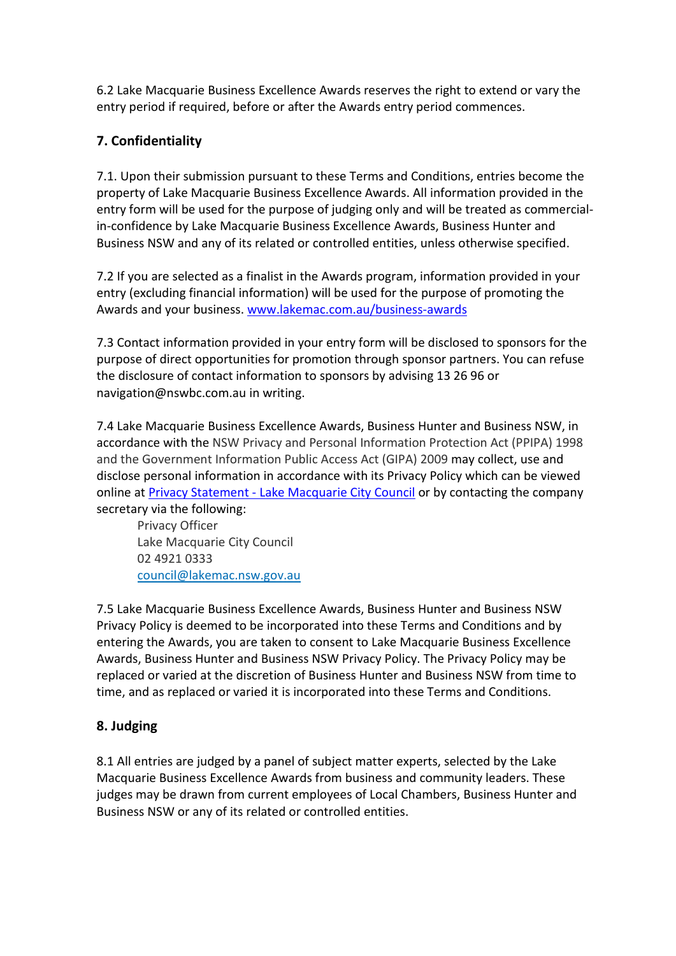6.2 Lake Macquarie Business Excellence Awards reserves the right to extend or vary the entry period if required, before or after the Awards entry period commences.

## **7. Confidentiality**

7.1. Upon their submission pursuant to these Terms and Conditions, entries become the property of Lake Macquarie Business Excellence Awards. All information provided in the entry form will be used for the purpose of judging only and will be treated as commercialin-confidence by Lake Macquarie Business Excellence Awards, Business Hunter and Business NSW and any of its related or controlled entities, unless otherwise specified.

7.2 If you are selected as a finalist in the Awards program, information provided in your entry (excluding financial information) will be used for the purpose of promoting the Awards and your business. [www.lakemac.com.au/business-awards](http://www.lakemac.com.au/business-awards)

7.3 Contact information provided in your entry form will be disclosed to sponsors for the purpose of direct opportunities for promotion through sponsor partners. You can refuse the disclosure of contact information to sponsors by advising 13 26 96 or navigation@nswbc.com.au in writing.

7.4 Lake Macquarie Business Excellence Awards, Business Hunter and Business NSW, in accordance with the NSW Privacy and Personal Information Protection Act (PPIPA) 1998 and the Government Information Public Access Act (GIPA) 2009 may collect, use and disclose personal information in accordance with its Privacy Policy which can be viewed online at [Privacy Statement - Lake Macquarie](https://www.lakemac.com.au/Privacy-Statement) City Council or by contacting the company secretary via the following:

Privacy Officer Lake Macquarie City Council 02 4921 0333 [council@lakemac.nsw.gov.au](mailto:council@lakemac.nsw.gov.au)

7.5 Lake Macquarie Business Excellence Awards, Business Hunter and Business NSW Privacy Policy is deemed to be incorporated into these Terms and Conditions and by entering the Awards, you are taken to consent to Lake Macquarie Business Excellence Awards, Business Hunter and Business NSW Privacy Policy. The Privacy Policy may be replaced or varied at the discretion of Business Hunter and Business NSW from time to time, and as replaced or varied it is incorporated into these Terms and Conditions.

## **8. Judging**

8.1 All entries are judged by a panel of subject matter experts, selected by the Lake Macquarie Business Excellence Awards from business and community leaders. These judges may be drawn from current employees of Local Chambers, Business Hunter and Business NSW or any of its related or controlled entities.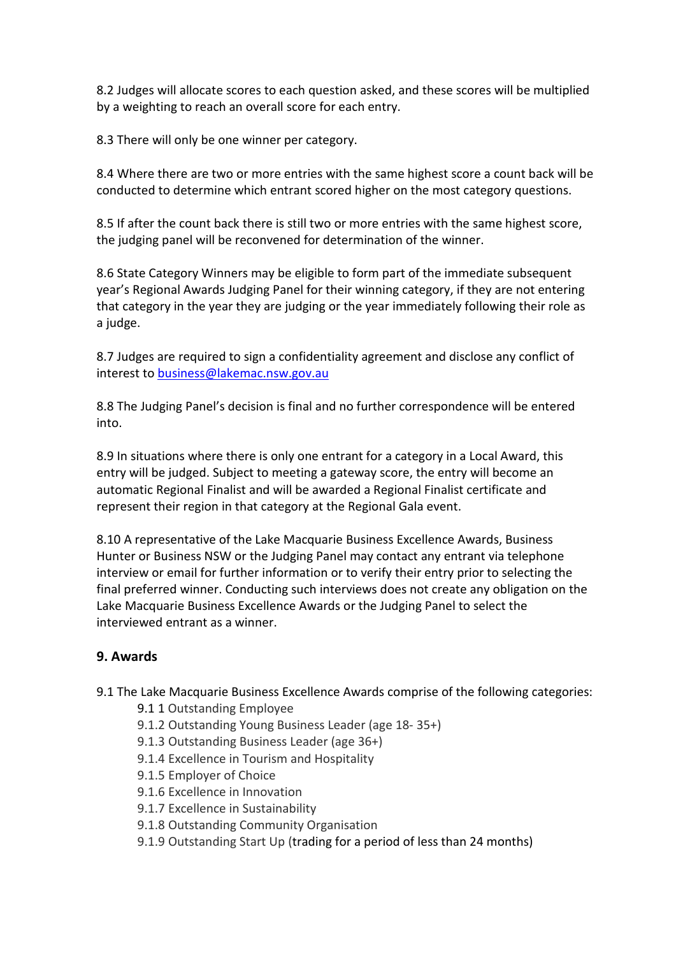8.2 Judges will allocate scores to each question asked, and these scores will be multiplied by a weighting to reach an overall score for each entry.

8.3 There will only be one winner per category.

8.4 Where there are two or more entries with the same highest score a count back will be conducted to determine which entrant scored higher on the most category questions.

8.5 If after the count back there is still two or more entries with the same highest score, the judging panel will be reconvened for determination of the winner.

8.6 State Category Winners may be eligible to form part of the immediate subsequent year's Regional Awards Judging Panel for their winning category, if they are not entering that category in the year they are judging or the year immediately following their role as a judge.

8.7 Judges are required to sign a confidentiality agreement and disclose any conflict of interest to [business@lakemac.nsw.gov.au](mailto:business@lakemac.nsw.gov.au)

8.8 The Judging Panel's decision is final and no further correspondence will be entered into.

8.9 In situations where there is only one entrant for a category in a Local Award, this entry will be judged. Subject to meeting a gateway score, the entry will become an automatic Regional Finalist and will be awarded a Regional Finalist certificate and represent their region in that category at the Regional Gala event.

8.10 A representative of the Lake Macquarie Business Excellence Awards, Business Hunter or Business NSW or the Judging Panel may contact any entrant via telephone interview or email for further information or to verify their entry prior to selecting the final preferred winner. Conducting such interviews does not create any obligation on the Lake Macquarie Business Excellence Awards or the Judging Panel to select the interviewed entrant as a winner.

#### **9. Awards**

9.1 The Lake Macquarie Business Excellence Awards comprise of the following categories:

- 9.1 1 Outstanding Employee
- 9.1.2 Outstanding Young Business Leader (age 18- 35+)
- 9.1.3 Outstanding Business Leader (age 36+)
- 9.1.4 Excellence in Tourism and Hospitality
- 9.1.5 Employer of Choice
- 9.1.6 Excellence in Innovation
- 9.1.7 Excellence in Sustainability
- 9.1.8 Outstanding Community Organisation
- 9.1.9 Outstanding Start Up (trading for a period of less than 24 months)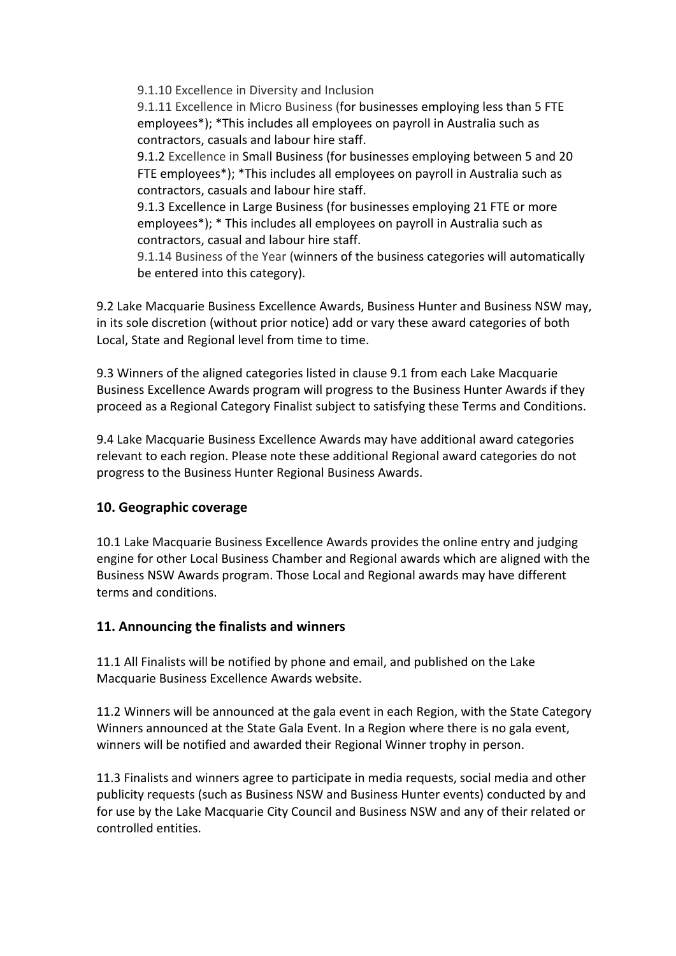9.1.10 Excellence in Diversity and Inclusion

9.1.11 Excellence in Micro Business (for businesses employing less than 5 FTE employees\*); \*This includes all employees on payroll in Australia such as contractors, casuals and labour hire staff.

9.1.2 Excellence in Small Business (for businesses employing between 5 and 20 FTE employees\*); \*This includes all employees on payroll in Australia such as contractors, casuals and labour hire staff.

9.1.3 Excellence in Large Business (for businesses employing 21 FTE or more employees\*); \* This includes all employees on payroll in Australia such as contractors, casual and labour hire staff.

9.1.14 Business of the Year (winners of the business categories will automatically be entered into this category).

9.2 Lake Macquarie Business Excellence Awards, Business Hunter and Business NSW may, in its sole discretion (without prior notice) add or vary these award categories of both Local, State and Regional level from time to time.

9.3 Winners of the aligned categories listed in clause 9.1 from each Lake Macquarie Business Excellence Awards program will progress to the Business Hunter Awards if they proceed as a Regional Category Finalist subject to satisfying these Terms and Conditions.

9.4 Lake Macquarie Business Excellence Awards may have additional award categories relevant to each region. Please note these additional Regional award categories do not progress to the Business Hunter Regional Business Awards.

## **10. Geographic coverage**

10.1 Lake Macquarie Business Excellence Awards provides the online entry and judging engine for other Local Business Chamber and Regional awards which are aligned with the Business NSW Awards program. Those Local and Regional awards may have different terms and conditions.

## **11. Announcing the finalists and winners**

11.1 All Finalists will be notified by phone and email, and published on the Lake Macquarie Business Excellence Awards website.

11.2 Winners will be announced at the gala event in each Region, with the State Category Winners announced at the State Gala Event. In a Region where there is no gala event, winners will be notified and awarded their Regional Winner trophy in person.

11.3 Finalists and winners agree to participate in media requests, social media and other publicity requests (such as Business NSW and Business Hunter events) conducted by and for use by the Lake Macquarie City Council and Business NSW and any of their related or controlled entities.